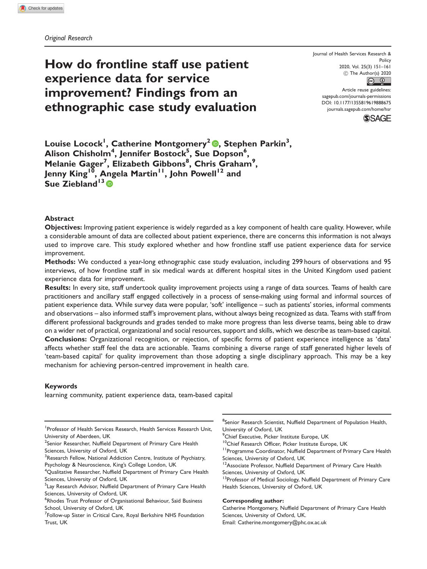# How do frontline staff use patient experience data for service improvement? Findings from an ethnographic case study evaluation

Journal of Health Services Research & Policy 2020, Vol. 25(3) 151–161  $\circled{c}$  The Author(s) 2020 Article reuse guidelines: [sagepub.com/journals-permissions](http://uk.sagepub.com/en-gb/journals-permissions)

[DOI: 10.1177/1355819619888675](http://dx.doi.org/10.1177/1355819619888675) <journals.sagepub.com/home/hsr>



Louise Locock<sup>I</sup>, Catherine Montgomery<sup>2</sup> ®, Stephen Parkin<sup>3</sup>, Alison Chisholm<sup>4</sup>, Jennifer Bostock<sup>5</sup>, Sue Dopson<sup>6</sup>, Melanie Gager<sup>7</sup>, Elizabeth Gibbons<sup>8</sup>, Chris Graham<sup>9</sup>, Jenny King<sup>10</sup>, Angela Martin<sup>11</sup>, John Powell<sup>12</sup> and Sue Ziebland<sup>13</sup>

### Abstract

Objectives: Improving patient experience is widely regarded as a key component of health care quality. However, while a considerable amount of data are collected about patient experience, there are concerns this information is not always used to improve care. This study explored whether and how frontline staff use patient experience data for service improvement.

Methods: We conducted a year-long ethnographic case study evaluation, including 299 hours of observations and 95 interviews, of how frontline staff in six medical wards at different hospital sites in the United Kingdom used patient experience data for improvement.

Results: In every site, staff undertook quality improvement projects using a range of data sources. Teams of health care practitioners and ancillary staff engaged collectively in a process of sense-making using formal and informal sources of patient experience data. While survey data were popular, 'soft' intelligence – such as patients' stories, informal comments and observations – also informed staff's improvement plans, without always being recognized as data. Teams with staff from different professional backgrounds and grades tended to make more progress than less diverse teams, being able to draw on a wider net of practical, organizational and social resources, support and skills, which we describe as team-based capital. Conclusions: Organizational recognition, or rejection, of specific forms of patient experience intelligence as 'data' affects whether staff feel the data are actionable. Teams combining a diverse range of staff generated higher levels of 'team-based capital' for quality improvement than those adopting a single disciplinary approach. This may be a key mechanism for achieving person-centred improvement in health care.

#### Keywords

learning community, patient experience data, team-based capital

- <sup>1</sup> Professor of Health Services Research, Health Services Research Unit, University of Aberdeen, UK
- <sup>2</sup> Senior Researcher, Nuffield Department of Primary Care Health Sciences, University of Oxford, UK
- <sup>3</sup>Research Fellow, National Addiction Centre, Institute of Psychiatry, Psychology & Neuroscience, King's College London, UK
- <sup>4</sup>Qualitative Researcher, Nuffield Department of Primary Care Health Sciences, University of Oxford, UK
- <sup>5</sup> Lay Research Advisor, Nuffield Department of Primary Care Health Sciences, University of Oxford, UK
- <sup>6</sup>Rhodes Trust Professor of Organisational Behaviour, Saïd Business School, University of Oxford, UK
- <sup>7</sup>Follow-up Sister in Critical Care, Royal Berkshire NHS Foundation Trust, UK
- <sup>8</sup>Senior Research Scientist, Nuffield Department of Population Health, University of Oxford, UK
- <sup>9</sup> Chief Executive, Picker Institute Europe, UK
- <sup>10</sup>Chief Research Officer, Picker Institute Europe, UK
- <sup>11</sup> Programme Coordinator, Nuffield Department of Primary Care Health Sciences, University of Oxford, UK
- <sup>12</sup> Associate Professor, Nuffield Department of Primary Care Health Sciences, University of Oxford, UK
- <sup>13</sup>Professor of Medical Sociology, Nuffield Department of Primary Care Health Sciences, University of Oxford, UK

#### Corresponding author:

Catherine Montgomery, Nuffield Department of Primary Care Health Sciences, University of Oxford, UK. Email: [Catherine.montgomery@phc.ox.ac.uk](mailto:Catherine.montgomery@phc.ox.ac.uk)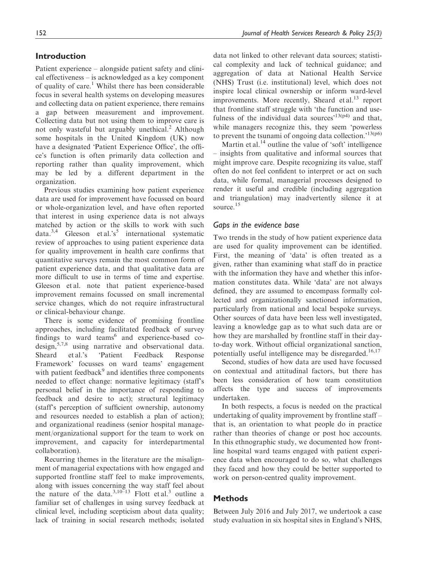## Introduction

Patient experience – alongside patient safety and clinical effectiveness – is acknowledged as a key component of quality of care.<sup>1</sup> Whilst there has been considerable focus in several health systems on developing measures and collecting data on patient experience, there remains a gap between measurement and improvement. Collecting data but not using them to improve care is not only wasteful but arguably unethical.<sup>2</sup> Although some hospitals in the United Kingdom (UK) now have a designated 'Patient Experience Office', the office's function is often primarily data collection and reporting rather than quality improvement, which may be led by a different department in the organization.

Previous studies examining how patient experience data are used for improvement have focussed on board or whole-organization level, and have often reported that interest in using experience data is not always matched by action or the skills to work with such data.<sup>3,4</sup> Gleeson et al.'s<sup>5</sup> international systematic review of approaches to using patient experience data for quality improvement in health care confirms that quantitative surveys remain the most common form of patient experience data, and that qualitative data are more difficult to use in terms of time and expertise. Gleeson et al. note that patient experience-based improvement remains focussed on small incremental service changes, which do not require infrastructural or clinical-behaviour change.

There is some evidence of promising frontline approaches, including facilitated feedback of survey findings to ward teams<sup>6</sup> and experience-based codesign,5,7,8 using narrative and observational data. Sheard et al.'s 'Patient Feedback Response Framework' focusses on ward teams' engagement with patient feedback<sup>9</sup> and identifies three components needed to effect change: normative legitimacy (staff's personal belief in the importance of responding to feedback and desire to act); structural legitimacy (staff's perception of sufficient ownership, autonomy and resources needed to establish a plan of action); and organizational readiness (senior hospital management/organizational support for the team to work on improvement, and capacity for interdepartmental collaboration).

Recurring themes in the literature are the misalignment of managerial expectations with how engaged and supported frontline staff feel to make improvements, along with issues concerning the way staff feel about the nature of the data.<sup>3,10–13</sup> Flott et al.<sup>3</sup> outline a familiar set of challenges in using survey feedback at clinical level, including scepticism about data quality; lack of training in social research methods; isolated data not linked to other relevant data sources; statistical complexity and lack of technical guidance; and aggregation of data at National Health Service (NHS) Trust (i.e. institutional) level, which does not inspire local clinical ownership or inform ward-level improvements. More recently, Sheard et al.<sup>13</sup> report that frontline staff struggle with 'the function and usefulness of the individual data sources'<sup>13(p4)</sup> and that. while managers recognize this, they seem 'powerless to prevent the tsunami of ongoing data collection.<sup>13(p6)</sup>

Martin et al. $^{14}$  outline the value of 'soft' intelligence – insights from qualitative and informal sources that might improve care. Despite recognizing its value, staff often do not feel confident to interpret or act on such data, while formal, managerial processes designed to render it useful and credible (including aggregation and triangulation) may inadvertently silence it at source.<sup>15</sup>

#### Gaps in the evidence base

Two trends in the study of how patient experience data are used for quality improvement can be identified. First, the meaning of 'data' is often treated as a given, rather than examining what staff do in practice with the information they have and whether this information constitutes data. While 'data' are not always defined, they are assumed to encompass formally collected and organizationally sanctioned information, particularly from national and local bespoke surveys. Other sources of data have been less well investigated, leaving a knowledge gap as to what such data are or how they are marshalled by frontline staff in their dayto-day work. Without official organizational sanction, potentially useful intelligence may be disregarded.<sup>16,17</sup>

Second, studies of how data are used have focussed on contextual and attitudinal factors, but there has been less consideration of how team constitution affects the type and success of improvements undertaken.

In both respects, a focus is needed on the practical undertaking of quality improvement by frontline staff – that is, an orientation to what people do in practice rather than theories of change or post hoc accounts. In this ethnographic study, we documented how frontline hospital ward teams engaged with patient experience data when encouraged to do so, what challenges they faced and how they could be better supported to work on person-centred quality improvement.

#### **Methods**

Between July 2016 and July 2017, we undertook a case study evaluation in six hospital sites in England's NHS,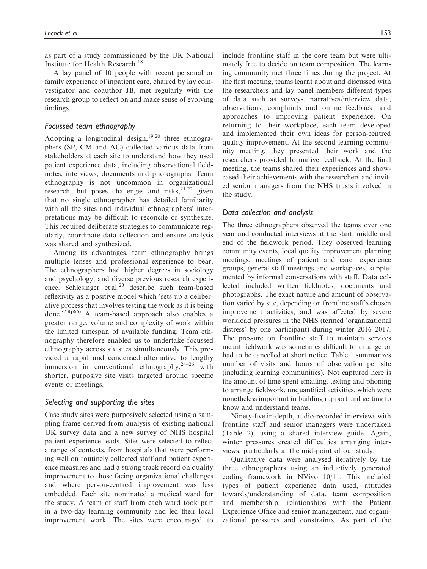as part of a study commissioned by the UK National Institute for Health Research.<sup>18</sup>

A lay panel of 10 people with recent personal or family experience of inpatient care, chaired by lay coinvestigator and coauthor JB, met regularly with the research group to reflect on and make sense of evolving findings.

#### Focussed team ethnography

Adopting a longitudinal design,  $19,20$  three ethnographers (SP, CM and AC) collected various data from stakeholders at each site to understand how they used patient experience data, including observational fieldnotes, interviews, documents and photographs. Team ethnography is not uncommon in organizational research, but poses challenges and risks, $2^{1,22}$  given that no single ethnographer has detailed familiarity with all the sites and individual ethnographers' interpretations may be difficult to reconcile or synthesize. This required deliberate strategies to communicate regularly, coordinate data collection and ensure analysis was shared and synthesized.

Among its advantages, team ethnography brings multiple lenses and professional experience to bear. The ethnographers had higher degrees in sociology and psychology, and diverse previous research experience. Schlesinger et al. $^{23}$  describe such team-based reflexivity as a positive model which 'sets up a deliberative process that involves testing the work as it is being done.'23(p66) A team-based approach also enables a greater range, volume and complexity of work within the limited timespan of available funding. Team ethnography therefore enabled us to undertake focussed ethnography across six sites simultaneously. This provided a rapid and condensed alternative to lengthy immersion in conventional ethnography,  $24-26$  with shorter, purposive site visits targeted around specific events or meetings.

### Selecting and supporting the sites

Case study sites were purposively selected using a sampling frame derived from analysis of existing national UK survey data and a new survey of NHS hospital patient experience leads. Sites were selected to reflect a range of contexts, from hospitals that were performing well on routinely collected staff and patient experience measures and had a strong track record on quality improvement to those facing organizational challenges and where person-centred improvement was less embedded. Each site nominated a medical ward for the study. A team of staff from each ward took part in a two-day learning community and led their local improvement work. The sites were encouraged to include frontline staff in the core team but were ultimately free to decide on team composition. The learning community met three times during the project. At the first meeting, teams learnt about and discussed with the researchers and lay panel members different types of data such as surveys, narratives/interview data, observations, complaints and online feedback, and approaches to improving patient experience. On returning to their workplace, each team developed and implemented their own ideas for person-centred quality improvement. At the second learning community meeting, they presented their work and the researchers provided formative feedback. At the final meeting, the teams shared their experiences and showcased their achievements with the researchers and invited senior managers from the NHS trusts involved in the study.

#### Data collection and analysis

The three ethnographers observed the teams over one year and conducted interviews at the start, middle and end of the fieldwork period. They observed learning community events, local quality improvement planning meetings, meetings of patient and carer experience groups, general staff meetings and workspaces, supplemented by informal conversations with staff. Data collected included written fieldnotes, documents and photographs. The exact nature and amount of observation varied by site, depending on frontline staff's chosen improvement activities, and was affected by severe workload pressures in the NHS (termed 'organizational distress' by one participant) during winter 2016–2017. The pressure on frontline staff to maintain services meant fieldwork was sometimes difficult to arrange or had to be cancelled at short notice. Table 1 summarizes number of visits and hours of observation per site (including learning communities). Not captured here is the amount of time spent emailing, texting and phoning to arrange fieldwork, unquantified activities, which were nonetheless important in building rapport and getting to know and understand teams.

Ninety-five in-depth, audio-recorded interviews with frontline staff and senior managers were undertaken (Table 2), using a shared interview guide. Again, winter pressures created difficulties arranging interviews, particularly at the mid-point of our study.

Qualitative data were analysed iteratively by the three ethnographers using an inductively generated coding framework in NVivo 10/11. This included types of patient experience data used, attitudes towards/understanding of data, team composition and membership, relationships with the Patient Experience Office and senior management, and organizational pressures and constraints. As part of the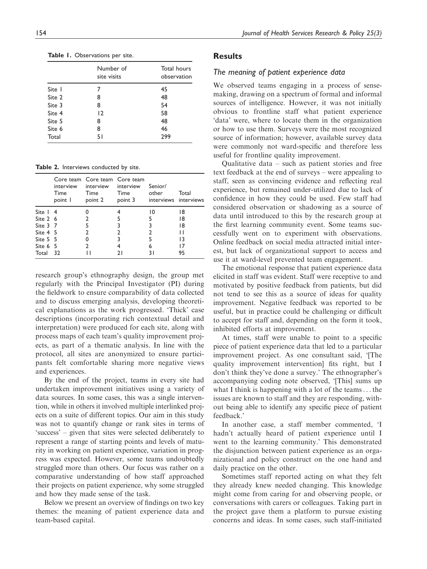|        | Number of<br>site visits | Total hours<br>observation |
|--------|--------------------------|----------------------------|
| Site 1 | 7                        | 45                         |
| Site 2 | 8                        | 48                         |
| Site 3 | 8                        | 54                         |
| Site 4 | 12                       | 58                         |
| Site 5 | 8                        | 48                         |
| Site 6 | 8                        | 46                         |
| Total  | 51                       | 299                        |

Table 1. Observations per site.

Table 2. Interviews conducted by site.

|                      | interview<br>Time<br>point I | Core team Core team Core team<br>interview<br>Time<br>point 2 | interview<br>Time<br>point 3 | Senior/<br>other | Total<br>interviews interviews |
|----------------------|------------------------------|---------------------------------------------------------------|------------------------------|------------------|--------------------------------|
| Site $1\quad 4$      |                              |                                                               |                              | 10               | 18                             |
| Site $2\overline{6}$ |                              | 2                                                             |                              | 5                | 18                             |
| Site 3 7             |                              | 5                                                             | ٦                            |                  | 18                             |
| Site $4\overline{5}$ |                              |                                                               | າ                            |                  | Н                              |
| Site 5 5             |                              |                                                               | ٦                            | 5                | 13                             |
| Site 6 5             |                              |                                                               |                              | 6                |                                |
| Total                | 32                           |                                                               |                              |                  | 95                             |

research group's ethnography design, the group met regularly with the Principal Investigator (PI) during the fieldwork to ensure comparability of data collected and to discuss emerging analysis, developing theoretical explanations as the work progressed. 'Thick' case descriptions (incorporating rich contextual detail and interpretation) were produced for each site, along with process maps of each team's quality improvement projects, as part of a thematic analysis. In line with the protocol, all sites are anonymized to ensure participants felt comfortable sharing more negative views and experiences.

By the end of the project, teams in every site had undertaken improvement initiatives using a variety of data sources. In some cases, this was a single intervention, while in others it involved multiple interlinked projects on a suite of different topics. Our aim in this study was not to quantify change or rank sites in terms of 'success' – given that sites were selected deliberately to represent a range of starting points and levels of maturity in working on patient experience, variation in progress was expected. However, some teams undoubtedly struggled more than others. Our focus was rather on a comparative understanding of how staff approached their projects on patient experience, why some struggled and how they made sense of the task.

Below we present an overview of findings on two key themes: the meaning of patient experience data and team-based capital.

## **Results**

## The meaning of patient experience data

We observed teams engaging in a process of sensemaking, drawing on a spectrum of formal and informal sources of intelligence. However, it was not initially obvious to frontline staff what patient experience 'data' were, where to locate them in the organization or how to use them. Surveys were the most recognized source of information; however, available survey data were commonly not ward-specific and therefore less useful for frontline quality improvement.

Qualitative data – such as patient stories and free text feedback at the end of surveys – were appealing to staff, seen as convincing evidence and reflecting real experience, but remained under-utilized due to lack of confidence in how they could be used. Few staff had considered observation or shadowing as a source of data until introduced to this by the research group at the first learning community event. Some teams successfully went on to experiment with observations. Online feedback on social media attracted initial interest, but lack of organizational support to access and use it at ward-level prevented team engagement.

The emotional response that patient experience data elicited in staff was evident. Staff were receptive to and motivated by positive feedback from patients, but did not tend to see this as a source of ideas for quality improvement. Negative feedback was reported to be useful, but in practice could be challenging or difficult to accept for staff and, depending on the form it took, inhibited efforts at improvement.

At times, staff were unable to point to a specific piece of patient experience data that led to a particular improvement project. As one consultant said, '[The quality improvement intervention] fits right, but I don't think they've done a survey.' The ethnographer's accompanying coding note observed, '[This] sums up what I think is happening with a lot of the teams... the issues are known to staff and they are responding, without being able to identify any specific piece of patient feedback.'

In another case, a staff member commented, 'I hadn't actually heard of patient experience until I went to the learning community.' This demonstrated the disjunction between patient experience as an organizational and policy construct on the one hand and daily practice on the other.

Sometimes staff reported acting on what they felt they already knew needed changing. This knowledge might come from caring for and observing people, or conversations with carers or colleagues. Taking part in the project gave them a platform to pursue existing concerns and ideas. In some cases, such staff-initiated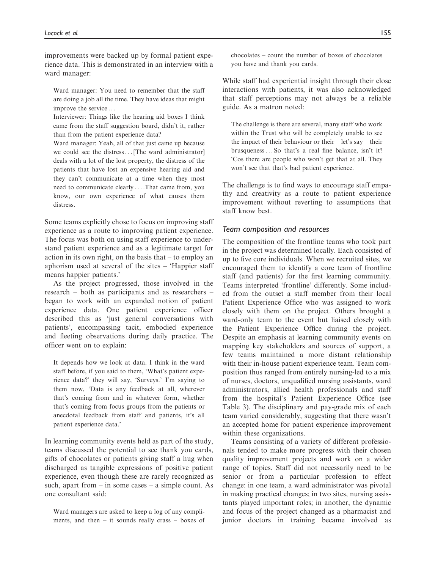improvements were backed up by formal patient experience data. This is demonstrated in an interview with a ward manager:

Ward manager: You need to remember that the staff are doing a job all the time. They have ideas that might improve the service ...

Interviewer: Things like the hearing aid boxes I think came from the staff suggestion board, didn't it, rather than from the patient experience data?

Ward manager: Yeah, all of that just came up because we could see the distress... [The ward administrator] deals with a lot of the lost property, the distress of the patients that have lost an expensive hearing aid and they can't communicate at a time when they most need to communicate clearly ... .That came from, you know, our own experience of what causes them distress.

Some teams explicitly chose to focus on improving staff experience as a route to improving patient experience. The focus was both on using staff experience to understand patient experience and as a legitimate target for action in its own right, on the basis that – to employ an aphorism used at several of the sites – 'Happier staff means happier patients.'

As the project progressed, those involved in the research – both as participants and as researchers – began to work with an expanded notion of patient experience data. One patient experience officer described this as 'just general conversations with patients', encompassing tacit, embodied experience and fleeting observations during daily practice. The officer went on to explain:

It depends how we look at data. I think in the ward staff before, if you said to them, 'What's patient experience data?' they will say, 'Surveys.' I'm saying to them now, 'Data is any feedback at all, wherever that's coming from and in whatever form, whether that's coming from focus groups from the patients or anecdotal feedback from staff and patients, it's all patient experience data.'

In learning community events held as part of the study, teams discussed the potential to see thank you cards, gifts of chocolates or patients giving staff a hug when discharged as tangible expressions of positive patient experience, even though these are rarely recognized as such, apart from  $-$  in some cases  $-$  a simple count. As one consultant said:

Ward managers are asked to keep a log of any compliments, and then – it sounds really crass – boxes of chocolates – count the number of boxes of chocolates you have and thank you cards.

While staff had experiential insight through their close interactions with patients, it was also acknowledged that staff perceptions may not always be a reliable guide. As a matron noted:

The challenge is there are several, many staff who work within the Trust who will be completely unable to see the impact of their behaviour or their  $-$  let's say  $-$  their brusqueness... So that's a real fine balance, isn't it? 'Cos there are people who won't get that at all. They won't see that that's bad patient experience.

The challenge is to find ways to encourage staff empathy and creativity as a route to patient experience improvement without reverting to assumptions that staff know best.

#### Team composition and resources

The composition of the frontline teams who took part in the project was determined locally. Each consisted of up to five core individuals. When we recruited sites, we encouraged them to identify a core team of frontline staff (and patients) for the first learning community. Teams interpreted 'frontline' differently. Some included from the outset a staff member from their local Patient Experience Office who was assigned to work closely with them on the project. Others brought a ward-only team to the event but liaised closely with the Patient Experience Office during the project. Despite an emphasis at learning community events on mapping key stakeholders and sources of support, a few teams maintained a more distant relationship with their in-house patient experience team. Team composition thus ranged from entirely nursing-led to a mix of nurses, doctors, unqualified nursing assistants, ward administrators, allied health professionals and staff from the hospital's Patient Experience Office (see Table 3). The disciplinary and pay-grade mix of each team varied considerably, suggesting that there wasn't an accepted home for patient experience improvement within these organizations.

Teams consisting of a variety of different professionals tended to make more progress with their chosen quality improvement projects and work on a wider range of topics. Staff did not necessarily need to be senior or from a particular profession to effect change: in one team, a ward administrator was pivotal in making practical changes; in two sites, nursing assistants played important roles; in another, the dynamic and focus of the project changed as a pharmacist and junior doctors in training became involved as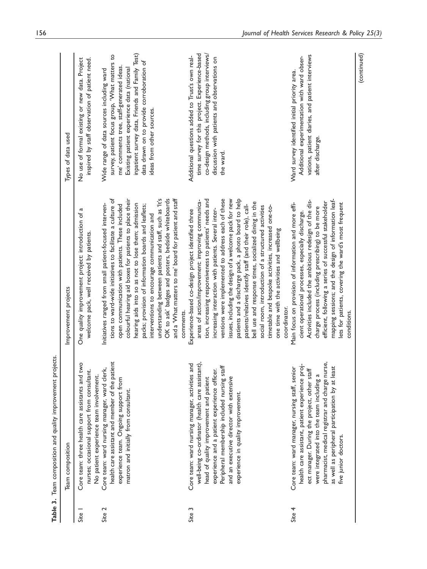| Table 3. | Team composition and quality improvement projects.                                                                                                                                                                                                                                                                               |                                                                                                                                                                                                                                                                                                                                                                                                                                                                                                                                                                                                                                                                                       |                                                                                                                                                                                                                                                                                       |
|----------|----------------------------------------------------------------------------------------------------------------------------------------------------------------------------------------------------------------------------------------------------------------------------------------------------------------------------------|---------------------------------------------------------------------------------------------------------------------------------------------------------------------------------------------------------------------------------------------------------------------------------------------------------------------------------------------------------------------------------------------------------------------------------------------------------------------------------------------------------------------------------------------------------------------------------------------------------------------------------------------------------------------------------------|---------------------------------------------------------------------------------------------------------------------------------------------------------------------------------------------------------------------------------------------------------------------------------------|
|          | Team composition                                                                                                                                                                                                                                                                                                                 | Improvement projects                                                                                                                                                                                                                                                                                                                                                                                                                                                                                                                                                                                                                                                                  | Types of data used                                                                                                                                                                                                                                                                    |
| Site     | Core team: three health care assistants and two<br>nurses; occasional support from consultant.<br>No patient experience team involvement.                                                                                                                                                                                        | G<br>One quality improvement project: introduction of<br>welcome pack, well received by patients.                                                                                                                                                                                                                                                                                                                                                                                                                                                                                                                                                                                     | No use of formal existing or new data. Project<br>inspired by staff observation of patient need.                                                                                                                                                                                      |
| Site 2   | health care assistant and member of the patient<br>Core team: ward nursing manager, ward clerk,<br>experience team. Ongoing support from<br>matron and initially from consultant.                                                                                                                                                | tions to ward-wide initiatives to facilitate a culture of<br>colourful hearing aid boxes for patients to place their<br>Initiatives ranged from small patient-focused interven-<br>hearing aids into so as not to lose them; admission<br>packs; provision of information boards and leaflets;<br>open communication with patients. These included                                                                                                                                                                                                                                                                                                                                    | inpatient survey data, Friends and Family Test)<br>survey, patient focus group, 'What matters to<br>data drawn on to provide corroboration of<br>me' comments tree, staff-generated ideas.<br>Existing patient experience data (national<br>Wide range of data sources including ward |
|          |                                                                                                                                                                                                                                                                                                                                  | understanding between patients and staff, such as 'It's<br>OK to ask' badges and posters, bedside whiteboards<br>and a 'What matters to me' board for patient and staff<br>interventions to encourage communication and<br>comments.                                                                                                                                                                                                                                                                                                                                                                                                                                                  | ideas from other sources.                                                                                                                                                                                                                                                             |
| Site 3   | well-being co-ordinator (health care assistant),<br>Core team: ward nursing manager, activities and<br>Peripheral membership included nursing staff<br>experience and a patient experience officer.<br>head of quality improvement and patient<br>and an executive director with extensive<br>experience in quality improvement. | ventions were implemented to address each of these<br>issues, including the design of a welcome pack for new<br>patients and a discharge pack, a photo board to help<br>tion, increasing responsiveness to patients' needs and<br>areas of action/improvement: improving communica-<br>bell use and response times, socialized dining in the<br>patients/relatives identify staff (and their role), call-<br>social room, introduction of a structured activities<br>timetable and bespoke activities, increased one-to-<br>increasing interaction with patients. Several inter-<br>Experience-based co-design project identified three<br>one time with the activities and wellbeing | time survey for this project. Experience-based<br>co-design methods, including group interviews/<br>Additional questions added to Trust's own real-<br>discussion with patients and observations on<br>the ward.                                                                      |
| Site 4   | pharmacist, medical registrar and charge nurse,<br>health care assistant, patient experience proj-<br>Core team: ward manager, nursing staff, senior<br>as well as peripheral participation by at least<br>ect manager. During the project, other staff<br>were integrated into the team including a<br>five junior doctors.     | mapping sessions; and the design of information leaf-<br>Activities included the ambitious redesign of the dis-<br>efficient, following a series of successful stakeholder<br>Main focus on provision of information and more effi-<br>lets for patients, covering the ward's most frequent<br>charge process (including prescribing) to be more<br>cient operational processes, especially discharge.<br>coordinator.<br>conditions.                                                                                                                                                                                                                                                 | vations, patient diaries, and patient interviews<br>Additional experimentation with ward obser-<br>Ward survey identified initial priority area.<br>after discharge.                                                                                                                  |
|          |                                                                                                                                                                                                                                                                                                                                  |                                                                                                                                                                                                                                                                                                                                                                                                                                                                                                                                                                                                                                                                                       | (continued)                                                                                                                                                                                                                                                                           |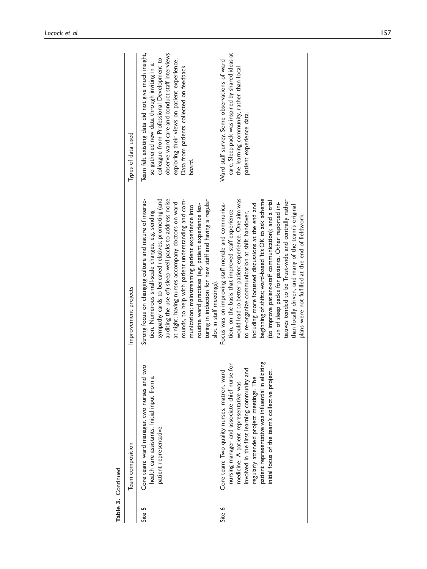| Table 3. Continued | Team composition                                                                                                                                                                                                                                                                                                                             | Improvement projects                                                                                                                                                                                                                                                                                                                                                                                                                                                                                                                                                                                                       | Types of data used                                                                                                                                                                                                                                                                                     |
|--------------------|----------------------------------------------------------------------------------------------------------------------------------------------------------------------------------------------------------------------------------------------------------------------------------------------------------------------------------------------|----------------------------------------------------------------------------------------------------------------------------------------------------------------------------------------------------------------------------------------------------------------------------------------------------------------------------------------------------------------------------------------------------------------------------------------------------------------------------------------------------------------------------------------------------------------------------------------------------------------------------|--------------------------------------------------------------------------------------------------------------------------------------------------------------------------------------------------------------------------------------------------------------------------------------------------------|
| Site 5             | Core team: ward manager, two nurses and two<br>health care assistants. Initial input from a<br>patient representative.                                                                                                                                                                                                                       | Strong focus on changing culture and nature of interac-<br>rounds, to help with patient understanding and com-<br>auditing the use of) sleep-well packs to address noise<br>sympathy cards to bereaved relatives; promoting (and<br>turing in induction for new staff and having a regular<br>at night; having nurses accompany doctors on ward<br>routine ward practices (e.g. patient experience fea-<br>munication; mainstreaming patient experience into<br>tion. Numerous small-scale changes, e.g. sending<br>slot in staff meetings).                                                                               | observe ward care and conduct staff interviews<br>Team felt existing data did not give much insight,<br>colleague from Professional Development to<br>exploring their views on patient experience.<br>so gathered new data through inviting in a<br>Data from patients collected on feedback<br>board. |
| Site 6             | patient representative was influential in eliciting<br>nursing manager and associate chief nurse for<br>involved in the first learning community and<br>Core team: Two quality nurses, matron, ward<br>initial focus of the team's collective project.<br>regularly attended project meetings. The<br>medicine. A patient representative was | would lead to better patient experience. One aim was<br>beginning of shifts; ward-based 'It's OK to ask' scheme<br>tiatives tended to be Trust-wide and centrally rather<br>(to improve patient-staff communication); and a trial<br>run of sleep packs for patients. Other reported ini-<br>Focus was on improving staff morale and communica-<br>including more focussed discussions at the end and<br>than locally driven, and many of the team's original<br>tion, on the basis that improved staff experience<br>to re-organize communication at shift handover,<br>plans were not fulfilled at the end of fieldwork. | care. Sleep pack was inspired by shared ideas at<br>Ward staff survey. Some observations of ward<br>the learning community, rather than local<br>patient experience data.                                                                                                                              |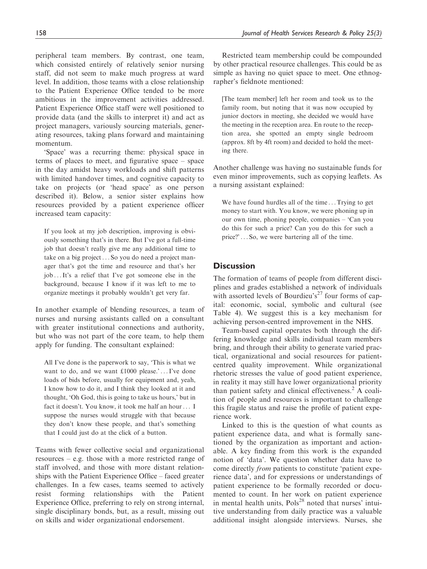peripheral team members. By contrast, one team, which consisted entirely of relatively senior nursing staff, did not seem to make much progress at ward level. In addition, those teams with a close relationship to the Patient Experience Office tended to be more ambitious in the improvement activities addressed. Patient Experience Office staff were well positioned to provide data (and the skills to interpret it) and act as project managers, variously sourcing materials, generating resources, taking plans forward and maintaining momentum.

'Space' was a recurring theme: physical space in terms of places to meet, and figurative space – space in the day amidst heavy workloads and shift patterns with limited handover times, and cognitive capacity to take on projects (or 'head space' as one person described it). Below, a senior sister explains how resources provided by a patient experience officer increased team capacity:

If you look at my job description, improving is obviously something that's in there. But I've got a full-time job that doesn't really give me any additional time to take on a big project ... So you do need a project manager that's got the time and resource and that's her job ...It's a relief that I've got someone else in the background, because I know if it was left to me to organize meetings it probably wouldn't get very far.

In another example of blending resources, a team of nurses and nursing assistants called on a consultant with greater institutional connections and authority, but who was not part of the core team, to help them apply for funding. The consultant explained:

All I've done is the paperwork to say, 'This is what we want to do, and we want £1000 please.'...I've done loads of bids before, usually for equipment and, yeah, I know how to do it, and I think they looked at it and thought, 'Oh God, this is going to take us hours,' but in fact it doesn't. You know, it took me half an hour... I suppose the nurses would struggle with that because they don't know these people, and that's something that I could just do at the click of a button.

Teams with fewer collective social and organizational resources – e.g. those with a more restricted range of staff involved, and those with more distant relationships with the Patient Experience Office – faced greater challenges. In a few cases, teams seemed to actively resist forming relationships with the Patient Experience Office, preferring to rely on strong internal, single disciplinary bonds, but, as a result, missing out on skills and wider organizational endorsement.

Restricted team membership could be compounded by other practical resource challenges. This could be as simple as having no quiet space to meet. One ethnographer's fieldnote mentioned:

[The team member] left her room and took us to the family room, but noting that it was now occupied by junior doctors in meeting, she decided we would have the meeting in the reception area. En route to the reception area, she spotted an empty single bedroom (approx. 8ft by 4ft room) and decided to hold the meeting there.

Another challenge was having no sustainable funds for even minor improvements, such as copying leaflets. As a nursing assistant explained:

We have found hurdles all of the time ... Trying to get money to start with. You know, we were phoning up in our own time, phoning people, companies – 'Can you do this for such a price? Can you do this for such a price?' ... So, we were bartering all of the time.

## **Discussion**

The formation of teams of people from different disciplines and grades established a network of individuals with assorted levels of Bourdieu's<sup>27</sup> four forms of capital: economic, social, symbolic and cultural (see Table 4). We suggest this is a key mechanism for achieving person-centred improvement in the NHS.

Team-based capital operates both through the differing knowledge and skills individual team members bring, and through their ability to generate varied practical, organizational and social resources for patientcentred quality improvement. While organizational rhetoric stresses the value of good patient experience, in reality it may still have lower organizational priority than patient safety and clinical effectiveness. $<sup>2</sup>$  A coali-</sup> tion of people and resources is important to challenge this fragile status and raise the profile of patient experience work.

Linked to this is the question of what counts as patient experience data, and what is formally sanctioned by the organization as important and actionable. A key finding from this work is the expanded notion of 'data'. We question whether data have to come directly from patients to constitute 'patient experience data', and for expressions or understandings of patient experience to be formally recorded or documented to count. In her work on patient experience in mental health units,  $Pols^{28}$  noted that nurses' intuitive understanding from daily practice was a valuable additional insight alongside interviews. Nurses, she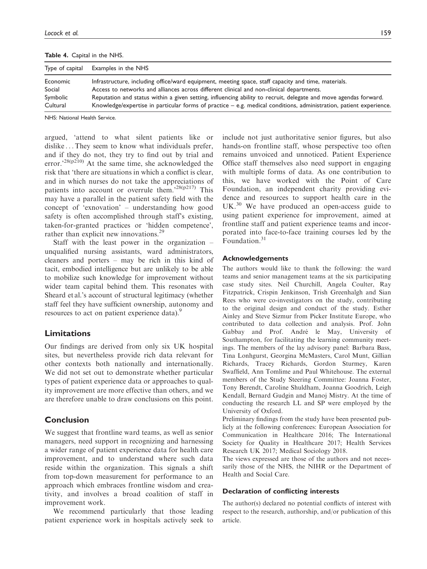| Table 4. Capital in the NHS. |  |  |  |  |
|------------------------------|--|--|--|--|
|------------------------------|--|--|--|--|

| Type of capital | Examples in the NHS                                                                                                |
|-----------------|--------------------------------------------------------------------------------------------------------------------|
| Economic        | Infrastructure, including office/ward equipment, meeting space, staff capacity and time, materials.                |
| Social          | Access to networks and alliances across different clinical and non-clinical departments.                           |
| Symbolic        | Reputation and status within a given setting, influencing ability to recruit, delegate and move agendas forward.   |
| Cultural        | Knowledge/expertise in particular forms of practice - e.g. medical conditions, administration, patient experience. |

NHS: National Health Service.

argued, 'attend to what silent patients like or dislike ... They seem to know what individuals prefer, and if they do not, they try to find out by trial and error.<sup>28(p210)</sup> At the same time, she acknowledged the risk that 'there are situations in which a conflict is clear, and in which nurses do not take the appreciations of patients into account or overrule them.<sup>28(p217)</sup> This may have a parallel in the patient safety field with the concept of 'exnovation' – understanding how good safety is often accomplished through staff's existing, taken-for-granted practices or 'hidden competence', rather than explicit new innovations.<sup>29</sup>

Staff with the least power in the organization – unqualified nursing assistants, ward administrators, cleaners and porters – may be rich in this kind of tacit, embodied intelligence but are unlikely to be able to mobilize such knowledge for improvement without wider team capital behind them. This resonates with Sheard et al.'s account of structural legitimacy (whether staff feel they have sufficient ownership, autonomy and resources to act on patient experience data).<sup>9</sup>

#### Limitations

Our findings are derived from only six UK hospital sites, but nevertheless provide rich data relevant for other contexts both nationally and internationally. We did not set out to demonstrate whether particular types of patient experience data or approaches to quality improvement are more effective than others, and we are therefore unable to draw conclusions on this point.

## **Conclusion**

We suggest that frontline ward teams, as well as senior managers, need support in recognizing and harnessing a wider range of patient experience data for health care improvement, and to understand where such data reside within the organization. This signals a shift from top-down measurement for performance to an approach which embraces frontline wisdom and creativity, and involves a broad coalition of staff in improvement work.

We recommend particularly that those leading patient experience work in hospitals actively seek to include not just authoritative senior figures, but also hands-on frontline staff, whose perspective too often remains unvoiced and unnoticed. Patient Experience Office staff themselves also need support in engaging with multiple forms of data. As one contribution to this, we have worked with the Point of Care Foundation, an independent charity providing evidence and resources to support health care in the UK.<sup>30</sup> We have produced an open-access guide to using patient experience for improvement, aimed at frontline staff and patient experience teams and incorporated into face-to-face training courses led by the Foundation.<sup>31</sup>

#### Acknowledgements

The authors would like to thank the following: the ward teams and senior management teams at the six participating case study sites. Neil Churchill, Angela Coulter, Ray Fitzpatrick, Crispin Jenkinson, Trish Greenhalgh and Sian Rees who were co-investigators on the study, contributing to the original design and conduct of the study. Esther Ainley and Steve Sizmur from Picker Institute Europe, who contributed to data collection and analysis. Prof. John Gabbay and Prof. André le May, University of Southampton, for facilitating the learning community meetings. The members of the lay advisory panel: Barbara Bass, Tina Lonhgurst, Georgina McMasters, Carol Munt, Gillian Richards, Tracey Richards, Gordon Sturmey, Karen Swaffield, Ann Tomlime and Paul Whitehouse. The external members of the Study Steering Committee: Joanna Foster, Tony Berendt, Caroline Shuldham, Joanna Goodrich, Leigh Kendall, Bernard Gudgin and Manoj Mistry. At the time of conducting the research LL and SP were employed by the University of Oxford.

Preliminary findings from the study have been presented publicly at the following conferences: European Association for Communication in Healthcare 2016; The International Society for Quality in Healthcare 2017; Health Services Research UK 2017; Medical Sociology 2018.

The views expressed are those of the authors and not necessarily those of the NHS, the NIHR or the Department of Health and Social Care.

#### Declaration of conflicting interests

The author(s) declared no potential conflicts of interest with respect to the research, authorship, and/or publication of this article.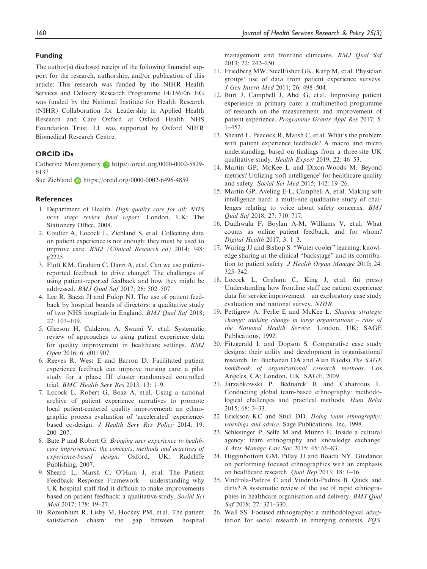#### Funding

The author(s) disclosed receipt of the following financial support for the research, authorship, and/or publication of this article: This research was funded by the NIHR Health Services and Delivery Research Programme 14/156/06. EG was funded by the National Institute for Health Research (NIHR) Collaboration for Leadership in Applied Health Research and Care Oxford at Oxford Health NHS Foundation Trust. LL was supported by Oxford NIHR Biomedical Research Centre.

#### ORCID iDs

Catherine Montgomery **D** [https://orcid.org/0000-0002-5829-](https://orcid.org/0000-0002-5829-6137) [6137](https://orcid.org/0000-0002-5829-6137)

Sue Ziebland <https://orcid.org/0000-0002-6496-4859>

#### **References**

- 1. Department of Health. High quality care for all: NHS next stage review final report. London, UK: The Stationery Office, 2008.
- 2. Coulter A, Locock L, Ziebland S, et al. Collecting data on patient experience is not enough: they must be used to improve care. BMJ (Clinical Research ed) 2014; 348: g2225
- 3. Flott KM, Graham C, Darzi A, et al. Can we use patientreported feedback to drive change? The challenges of using patient-reported feedback and how they might be addressed. BMJ Qual Saf 2017; 26: 502–507.
- 4. Lee R, Baeza JI and Fulop NJ. The use of patient feedback by hospital boards of directors: a qualitative study of two NHS hospitals in England. BMJ Qual Saf 2018; 27: 103–109.
- 5. Gleeson H, Calderon A, Swami V, et al. Systematic review of approaches to using patient experience data for quality improvement in healthcare settings. BMJ Open 2016; 6: e011907.
- 6. Reeves R, West E and Barron D. Facilitated patient experience feedback can improve nursing care: a pilot study for a phase III cluster randomised controlled trial. BMC Health Serv Res 2013; 13: 1–9.
- 7. Locock L, Robert G, Boaz A, et al. Using a national archive of patient experience narratives to promote local patient-centered quality improvement: an ethnographic process evaluation of 'accelerated' experiencebased co-design. J Health Serv Res Policy 2014; 19: 200–207.
- 8. Bate P and Robert G. Bringing user experience to healthcare improvement: the concepts, methods and practices of experience-based design. Oxford, UK: Radcliffe Publishing, 2007.
- 9. Sheard L, Marsh C, O'Hara J, et al. The Patient Feedback Response Framework – understanding why UK hospital staff find it difficult to make improvements based on patient feedback: a qualitative study. Social Sci Med 2017; 178: 19–27.
- 10. Rozenblum R, Lisby M, Hockey PM, et al. The patient satisfaction chasm: the gap between hospital

management and frontline clinicians. BMJ Qual Saf 2013; 22: 242–250.

- 11. Friedberg MW, SteelFisher GK, Karp M, et al. Physician groups' use of data from patient experience surveys. J Gen Intern Med 2011; 26: 498–504.
- 12. Burt J, Campbell J, Abel G, et al. Improving patient experience in primary care: a multimethod programme of research on the measurement and improvement of patient experience. Programme Grants Appl Res 2017; 5: 1–452.
- 13. Sheard L, Peacock R, Marsh C, et al. What's the problem with patient experience feedback? A macro and micro understanding, based on findings from a three-site UK qualitative study. Health Expect 2019; 22: 46–53.
- 14. Martin GP, McKee L and Dixon-Woods M. Beyond metrics? Utilizing 'soft intelligence' for healthcare quality and safety. Social Sci Med 2015; 142: 19–26.
- 15. Martin GP, Aveling E-L, Campbell A, et al. Making soft intelligence hard: a multi-site qualitative study of challenges relating to voice about safety concerns. BMJ Qual Saf 2018; 27: 710–717.
- 16. Dudhwala F, Boylan A-M, Williams V, et al. What counts as online patient feedback, and for whom? Digital Health 2017; 3: 1–3.
- 17. Waring JJ and Bishop S. "Water cooler" learning: knowledge sharing at the clinical "backstage" and its contribution to patient safety. J Health Organ Manage 2010; 24: 325–342.
- 18. Locock L, Graham C, King J, et al. (in press) Understanding how frontline staff use patient experience data for service improvement – an exploratory case study evaluation and national survey. NIHR.
- 19. Pettigrew A, Ferlie E and McKee L. Shaping strategic change: making change in large organizations – case of the National Health Service. London, UK: SAGE Publications, 1992.
- 20. Fitzgerald L and Dopson S. Comparative case study designs: their utility and development in organisational research. In: Buchanan DA and Alan B (eds) The SAGE handbook of organizational research methods. Los Angeles, CA; London, UK: SAGE, 2009.
- 21. Jarzabkowski P, Bednarek R and Cabantous L. Conducting global team-based ethnography: methodological challenges and practical methods. Hum Relat 2015; 68: 3–33.
- 22. Erickson KC and Stull DD. Doing team ethnography: warnings and advice. Sage Publications, Inc, 1998.
- 23. Schlesinger P, Selfe M and Munro E. Inside a cultural agency: team ethnography and knowledge exchange. J Arts Manage Law Soc 2015; 45: 66–83.
- 24. Higginbottom GM, Pillay JJ and Boadu NY. Guidance on performing focused ethnographies with an emphasis on healthcare research. Qual Rep 2013; 18: 1–16.
- 25. Vindrola-Padros C and Vindrola-Padros B. Quick and dirty? A systematic review of the use of rapid ethnographies in healthcare organisation and delivery. BMJ Qual Saf 2018; 27: 321–330.
- 26. Wall SS. Focused ethnography: a methodological adaptation for social research in emerging contexts. FQS.